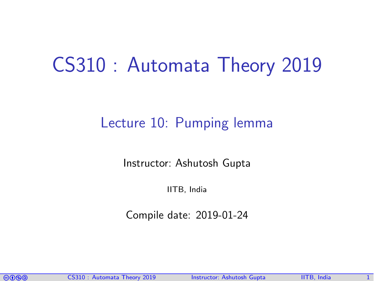# CS310 : Automata Theory 2019

#### Lecture 10: Pumping lemma

Instructor: [Ashutosh Gupta](http://www.cse.iitb.ac.in/~akg/)

IITB, India

Compile date: 2019-01-24

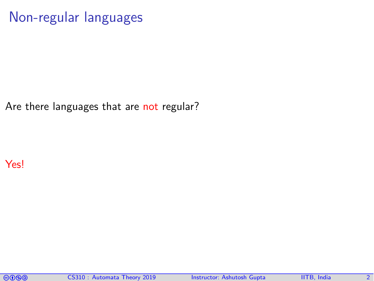#### Non-regular languages

Are there languages that are not regular?

Yes!

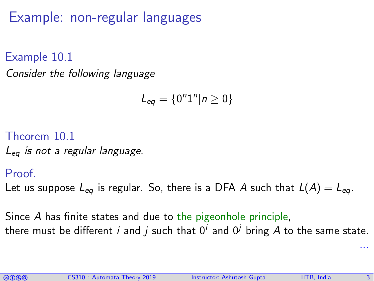Example: non-regular languages

Example 10.1 Consider the following language

$$
L_{eq}=\{0^n1^n|n\geq 0\}
$$

Theorem 10.1

 $L_{eq}$  is not a regular language.

Proof.

Let us suppose  $L_{eq}$  is regular. So, there is a DFA A such that  $L(A) = L_{eq}$ .

Since A has finite states and due to the pigeonhole principle, there must be different  $i$  and  $j$  such that  $0^i$  and  $0^j$  bring  $A$  to the same state.



...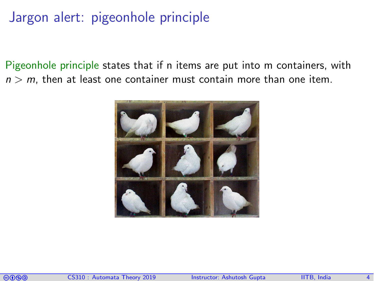#### Jargon alert: pigeonhole principle

Pigeonhole principle states that if n items are put into m containers, with  $n > m$ , then at least one container must contain more than one item.



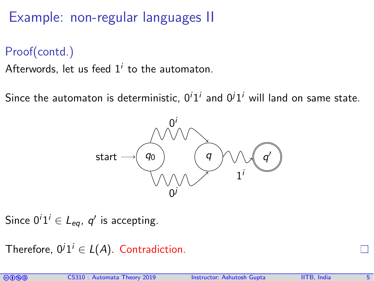Example: non-regular languages II

Proof(contd.)

Afterwords, let us feed  $1^i$  to the automaton.

Since the automaton is deterministic,  $0^i1^i$  and  $0^j1^i$  will land on same state.



Since  $0^i1^i \in \mathcal{L}_{eq}$ ,  $q'$  is accepting.

Therefore,  $0^j 1^i \in L(A)$ . Contradiction.

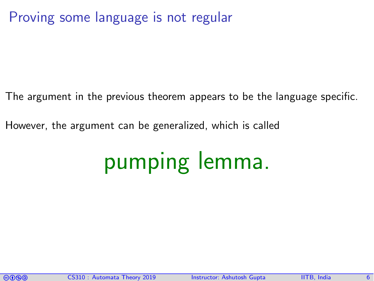#### Proving some language is not regular

The argument in the previous theorem appears to be the language specific.

However, the argument can be generalized, which is called

# pumping lemma.

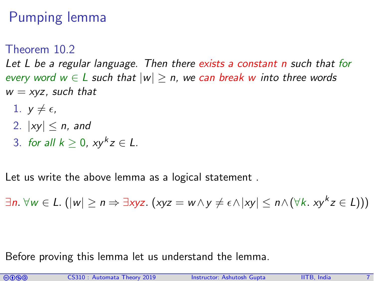## Pumping lemma

Theorem 10.2

<span id="page-6-0"></span>Let L be a regular language. Then there exists a constant  $n$  such that for every word  $w \in L$  such that  $|w| \ge n$ , we can break w into three words  $w = xyz$ , such that

- 1.  $y \neq \epsilon$ ,
- 2.  $|xy| \le n$ , and
- 3. for all  $k \geq 0$ ,  $xy^kz \in L$ .

Let us write the above lemma as a logical statement .

∃n.  $\forall w \in L$ . ( $|w| \ge n \Rightarrow \exists x yz$ . (xyz = w ∧ y ≠ e ∧ |xy|  $\le n \wedge (\forall k. x y^k z \in L))$ )

Before proving this lemma let us understand the lemma.

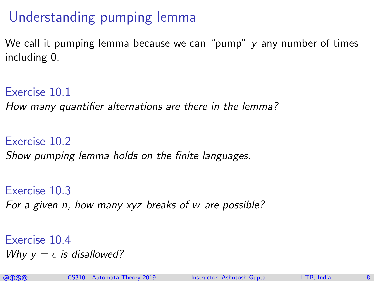## Understanding pumping lemma

We call it pumping lemma because we can "pump" y any number of times including 0.

Exercise 10.1 How many quantifier alternations are there in the lemma?

Exercise 10.2 Show pumping lemma holds on the finite languages.

Exercise 10.3 For a given n, how many xyz breaks of w are possible?

Exercise 10.4 Why  $y = \epsilon$  is disallowed?

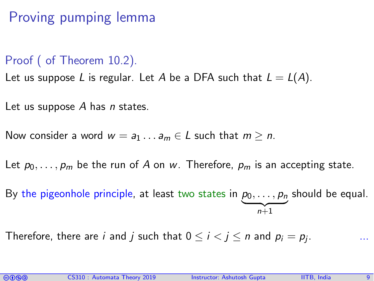## Proving pumping lemma

#### Proof ( of Theorem [10.2\)](#page-6-0).

Let us suppose L is regular. Let A be a DFA such that  $L = L(A)$ .

Let us suppose  $A$  has  $n$  states.

Now consider a word  $w = a_1 \dots a_m \in L$  such that  $m \ge n$ .

Let  $p_0, \ldots, p_m$  be the run of A on w. Therefore,  $p_m$  is an accepting state.

By the pigeonhole principle, at least two states in  $p_0,\ldots,p_n$  $\overline{n+1}$ n+1 should be equal.

Therefore, there are *i* and *j* such that  $0 \le i < j \le n$  and  $p_i = p_j$ . . ...

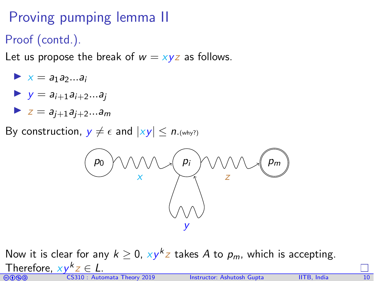## Proving pumping lemma II

Proof (contd.).

Let us propose the break of  $w = xyz$  as follows.

$$
\blacktriangleright x = a_1 a_2 ... a_i
$$

$$
y = a_{i+1}a_{i+2}...a_j
$$

$$
\blacktriangleright z = a_{j+1}a_{j+2}...a_m
$$

By construction,  $y \neq \epsilon$  and  $|xy| \leq n$ . (why?)



GOGO CS310 : Automata Theory 2019 Instructor: [Ashutosh Gupta](http://www.cse.iitb.ac.in/~akg/) IITB, India 10 Now it is clear for any  $k \geq 0$ ,  $xy^kz$  takes  $A$  to  $p_m$ , which is accepting. Therefore,  $xy^kz \in L$ .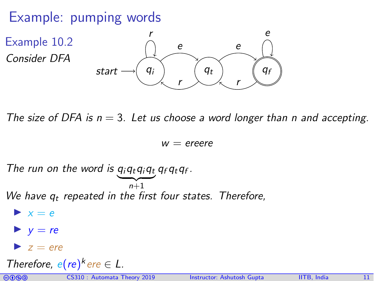#### Example: pumping words



The size of DFA is  $n = 3$ . Let us choose a word longer than n and accepting.

 $W =$  ereere

The run on the word is  $q_iq_tq_iq_tq_fq_f$ .  $\overline{n+1}$ We have  $q_t$  repeated in the first four states. Therefore,  $\blacktriangleright$   $x = e$  $\blacktriangleright$  y = re  $\blacktriangleright$  z = ere Therefore,  $e(re)^k$  ere  $\in L$ .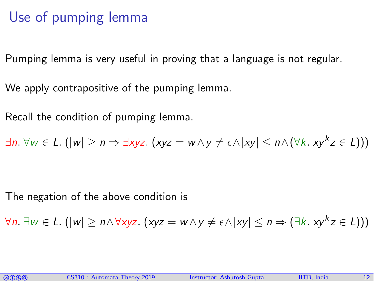#### Use of pumping lemma

Pumping lemma is very useful in proving that a language is not regular.

We apply contrapositive of the pumping lemma.

Recall the condition of pumping lemma.

∃n.  $\forall w \in L$ .  $(|w| \ge n \Rightarrow \exists x yz.$   $(xyz = w \land y \ne \epsilon \land |xy| \le n \land (\forall k. \ xy^k z \in L)))$ 

The negation of the above condition is

$$
\forall n. \ \exists w \in L. \ (|w| \geq n \land \forall xyz. \ (xyz = w \land y \neq \epsilon \land |xy| \leq n \Rightarrow (\exists k. \ xy^k z \in L)))
$$

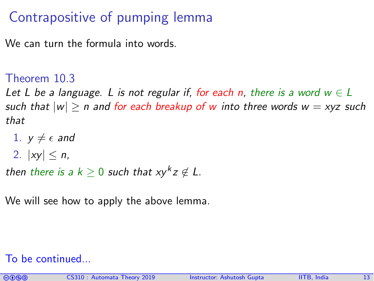## Contrapositive of pumping lemma

We can turn the formula into words.

Theorem 10.3

Let L be a language. L is not regular if, for each n, there is a word  $w \in L$ such that  $|w| > n$  and for each breakup of w into three words  $w = xyz$  such that

- 1.  $v \neq \epsilon$  and
- 2.  $|xv| < n$ .

then there is a  $k \geq 0$  such that  $xy^k z \not\in L$ .

We will see how to apply the above lemma.

#### To be continued...